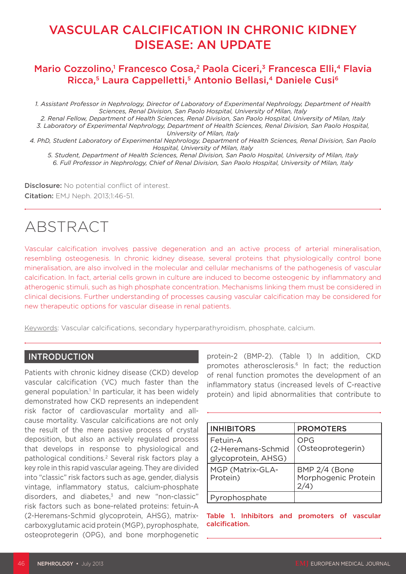# VASCULAR CALCIFICATION IN CHRONIC KIDNEY DISEASE: AN UPDATE

# Mario Cozzolino,<sup>1</sup> Francesco Cosa,<sup>2</sup> Paola Ciceri,<sup>3</sup> Francesca Elli,<sup>4</sup> Flavia Ricca,<sup>5</sup> Laura Cappelletti,<sup>5</sup> Antonio Bellasi,<sup>4</sup> Daniele Cusi<sup>6</sup>

*1. Assistant Professor in Nephrology, Director of Laboratory of Experimental Nephrology, Department of Health Sciences, Renal Division, San Paolo Hospital, University of Milan, Italy*

*2. Renal Fellow, Department of Health Sciences, Renal Division, San Paolo Hospital, University of Milan, Italy 3. Laboratory of Experimental Nephrology, Department of Health Sciences, Renal Division, San Paolo Hospital, University of Milan, Italy*

*4. PhD, Student Laboratory of Experimental Nephrology, Department of Health Sciences, Renal Division, San Paolo Hospital, University of Milan, Italy*

*5. Student, Department of Health Sciences, Renal Division, San Paolo Hospital, University of Milan, Italy 6. Full Professor in Nephrology, Chief of Renal Division, San Paolo Hospital, University of Milan, Italy*

Disclosure: No potential conflict of interest. Citation: EMJ Neph. 2013;1:46-51.

# ABSTRACT

Vascular calcification involves passive degeneration and an active process of arterial mineralisation, resembling osteogenesis. In chronic kidney disease, several proteins that physiologically control bone mineralisation, are also involved in the molecular and cellular mechanisms of the pathogenesis of vascular calcification. In fact, arterial cells grown in culture are induced to become osteogenic by inflammatory and atherogenic stimuli, such as high phosphate concentration. Mechanisms linking them must be considered in clinical decisions. Further understanding of processes causing vascular calcification may be considered for new therapeutic options for vascular disease in renal patients.

Keywords: Vascular calcifications, secondary hyperparathyroidism, phosphate, calcium.

#### INTRODUCTION

Patients with chronic kidney disease (CKD) develop vascular calcification (VC) much faster than the general population.<sup>1</sup> In particular, it has been widely demonstrated how CKD represents an independent risk factor of cardiovascular mortality and allcause mortality. Vascular calcifications are not only the result of the mere passive process of crystal deposition, but also an actively regulated process that develops in response to physiological and pathological conditions.2 Several risk factors play a key role in this rapid vascular ageing. They are divided into "classic" risk factors such as age, gender, dialysis vintage, inflammatory status, calcium-phosphate disorders, and diabetes, $3$  and new "non-classic" risk factors such as bone-related proteins: fetuin-A (2-Heremans-Schmid glycoprotein, AHSG), matrixcarboxyglutamic acid protein (MGP), pyrophosphate, osteoprotegerin (OPG), and bone morphogenetic

protein-2 (BMP-2). (Table 1) In addition, CKD promotes atherosclerosis.6 In fact; the reduction of renal function promotes the development of an inflammatory status (increased levels of C-reactive protein) and lipid abnormalities that contribute to

| <b>INHIBITORS</b>                                     | <b>PROMOTERS</b>                     |
|-------------------------------------------------------|--------------------------------------|
| Fetuin-A<br>(2-Heremans-Schmid<br>glycoprotein, AHSG) | OPG<br>(Osteoprotegerin)             |
| MGP (Matrix-GLA-<br>Protein)                          | BMP 2/4 (Bone<br>Morphogenic Protein |
| Pyrophosphate                                         |                                      |

Table 1. Inhibitors and promoters of vascular calcification.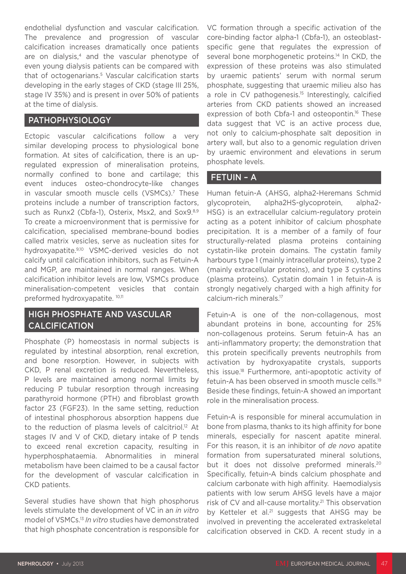endothelial dysfunction and vascular calcification. The prevalence and progression of vascular calcification increases dramatically once patients are on dialysis,<sup>4</sup> and the vascular phenotype of even young dialysis patients can be compared with that of octogenarians.<sup>5</sup> Vascular calcification starts developing in the early stages of CKD (stage III 25%, stage IV 35%) and is present in over 50% of patients at the time of dialysis.

#### PATHOPHYSIOLOGY

Ectopic vascular calcifications follow a very similar developing process to physiological bone formation. At sites of calcification, there is an upregulated expression of mineralisation proteins, normally confined to bone and cartilage; this event induces osteo-chondrocyte-like changes in vascular smooth muscle cells (VSMCs).7 These proteins include a number of transcription factors, such as Runx2 (Cbfa-1), Osterix, Msx2, and Sox9.8,9 To create a microenvironment that is permissive for calcification, specialised membrane-bound bodies called matrix vesicles, serve as nucleation sites for hydroxyapatite.9,10 VSMC-derived vesicles do not calcify until calcification inhibitors, such as Fetuin-A and MGP, are maintained in normal ranges. When calcification inhibitor levels are low, VSMCs produce mineralisation-competent vesicles that contain preformed hydroxyapatite. 10,11

# HIGH PHOSPHATE AND VASCULAR CALCIFICATION

Phosphate (P) homeostasis in normal subjects is regulated by intestinal absorption, renal excretion, and bone resorption. However, in subjects with CKD, P renal excretion is reduced. Nevertheless, P levels are maintained among normal limits by reducing P tubular resorption through increasing parathyroid hormone (PTH) and fibroblast growth factor 23 (FGF23). In the same setting, reduction of intestinal phosphorous absorption happens due to the reduction of plasma levels of calcitriol.<sup>12</sup> At stages IV and V of CKD, dietary intake of P tends to exceed renal excretion capacity, resulting in hyperphosphataemia. Abnormalities in mineral metabolism have been claimed to be a causal factor for the development of vascular calcification in CKD patients.

Several studies have shown that high phosphorus levels stimulate the development of VC in an *in vitro* model of VSMCs.13 *In vitro* studies have demonstrated that high phosphate concentration is responsible for VC formation through a specific activation of the core-binding factor alpha-1 (Cbfa-1), an osteoblastspecific gene that regulates the expression of several bone morphogenetic proteins.<sup>14</sup> In CKD, the expression of these proteins was also stimulated by uraemic patients' serum with normal serum phosphate, suggesting that uraemic milieu also has a role in CV pathogenesis.<sup>15</sup> Interestingly, calcified arteries from CKD patients showed an increased expression of both Cbfa-1 and osteopontin.<sup>16</sup> These data suggest that VC is an active process due, not only to calcium-phosphate salt deposition in artery wall, but also to a genomic regulation driven by uraemic environment and elevations in serum phosphate levels.

#### FETUIN – A

Human fetuin-A (AHSG, alpha2-Heremans Schmid glycoprotein, alpha2HS-glycoprotein, alpha2- HSG) is an extracellular calcium-regulatory protein acting as a potent inhibitor of calcium phosphate precipitation. It is a member of a family of four structurally-related plasma proteins containing cystatin-like protein domains. The cystatin family harbours type 1 (mainly intracellular proteins), type 2 (mainly extracellular proteins), and type 3 cystatins (plasma proteins). Cystatin domain 1 in fetuin-A is strongly negatively charged with a high affinity for calcium-rich minerals.17

Fetuin-A is one of the non-collagenous, most abundant proteins in bone, accounting for 25% non-collagenous proteins. Serum fetuin-A has an anti-inflammatory property; the demonstration that this protein specifically prevents neutrophils from activation by hydroxyapatite crystals, supports this issue.18 Furthermore, anti-apoptotic activity of fetuin-A has been observed in smooth muscle cells.19 Beside these findings, fetuin-A showed an important role in the mineralisation process.

Fetuin-A is responsible for mineral accumulation in bone from plasma, thanks to its high affinity for bone minerals, especially for nascent apatite mineral. For this reason, it is an inhibitor of *de novo* apatite formation from supersaturated mineral solutions, but it does not dissolve preformed minerals.<sup>20</sup> Specifically, fetuin-A binds calcium phosphate and calcium carbonate with high affinity. Haemodialysis patients with low serum AHSG levels have a major risk of CV and all-cause mortality.<sup>21</sup> This observation by Ketteler et al.<sup>21</sup> suggests that AHSG may be involved in preventing the accelerated extraskeletal calcification observed in CKD. A recent study in a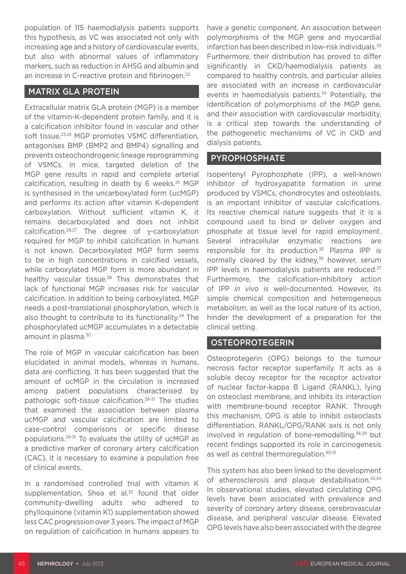population of 115 haemodialysis patients supports this hypothesis, as VC was associated not only with increasing age and a history of cardiovascular events, but also with abnormal values of inflammatory markers, such as reduction in AHSG and albumin and an increase in C-reactive protein and fibrinogen.22

# MATRIX GLA PROTEIN

Extracellular matrix GLA protein (MGP) is a member of the vitamin-K-dependent protein family, and it is a calcification inhibitor found in vascular and other soft tissue.23,24 MGP promotes VSMC differentiation, antagonises BMP (BMP2 and BMP4) signalling and prevents osteochondrogenic lineage reprogramming of VSMCs. In mice, targeted deletion of the MGP gene results in rapid and complete arterial calcification, resulting in death by 6 weeks.<sup>25</sup> MGP is synthesised in the uncarboxylated form (ucMGP) and performs its action after vitamin K-dependent carboxylation. Without sufficient vitamin K, it remains decarboxylated and does not inhibit calcification.26,27 The degree of γ-carboxylation required for MGP to inhibit calcification in humans is not known. Decarboxylated MGP form seems to be in high concentrations in calcified vessels, while carboxylated MGP form is more abundant in healthy vascular tissue.<sup>28</sup> This demonstrates that lack of functional MGP increases risk for vascular calcification. In addition to being carboxylated, MGP needs a post-translational phosphorylation, which is also thought to contribute to its functionality.<sup>29</sup> The phosphorylated ucMGP accumulates in a detectable amount in plasma.<sup>30</sup>

The role of MGP in vascular calcification has been elucidated in animal models, whereas in humans, data are conflicting. It has been suggested that the amount of ucMGP in the circulation is increased among patient populations characterised by pathologic soft-tissue calcification.29-31 The studies that examined the association between plasma ucMGP and vascular calcification are limited to case-control comparisons or specific disease populations.29-31 To evaluate the utility of ucMGP as a predictive marker of coronary artery calcification (CAC), it is necessary to examine a population free of clinical events.

In a randomised controlled trial with vitamin K supplementation, Shea et al.<sup>32</sup> found that older community-dwelling adults who adhered to phylloquinone (vitamin K1) supplementation showed less CAC progression over 3 years. The impact of MGP on regulation of calcification in humans appears to

have a genetic component. An association between polymorphisms of the MGP gene and myocardial infarction has been described in low-risk individuals.<sup>33</sup> Furthermore, their distribution has proved to differ significantly in CKD/haemodialysis patients as compared to healthy controls, and particular alleles are associated with an increase in cardiovascular events in haemodialysis patients.<sup>34</sup> Potentially, the identification of polymorphisms of the MGP gene, and their association with cardiovascular morbidity, is a critical step towards the understanding of the pathogenetic mechanisms of VC in CKD and dialysis patients.

#### PYROPHOSPHATE

Isopentenyl Pyrophosphate (IPP), a well-known inhibitor of hydroxyapatite formation in urine produced by VSMCs, chondrocytes and osteoblasts, is an important inhibitor of vascular calcifications. Its reactive chemical nature suggests that it is a compound used to bind or deliver oxygen and phosphate at tissue level for rapid employment. Several intracellular enzymatic reactions are responsible for its production.35 Plasma IPP is normally cleared by the kidney,<sup>36</sup> however, serum IPP levels in haemodialysis patients are reduced. $37$ Furthermore, the calcification-inhibitory action of IPP *in vivo* is well-documented. However, its simple chemical composition and heterogeneous metabolism, as well as the local nature of its action, hinder the development of a preparation for the clinical setting.

## OSTEOPROTEGERIN

Osteoprotegerin (OPG) belongs to the tumour necrosis factor receptor superfamily. It acts as a soluble decoy receptor for the receptor activator of nuclear factor-kappa B Ligand (RANKL), lying on osteoclast membrane, and inhibits its interaction with membrane-bound receptor RANK. Through this mechanism, OPG is able to inhibit osteoclasts differentiation. RANKL/OPG/RANK axis is not only involved in regulation of bone-remodelling, $38,39$  but recent findings supported its role in carcinogenesis as well as central thermoregulation.40,41

This system has also been linked to the development of atherosclerosis and plaque destabilisation.42,43 In observational studies, elevated circulating OPG levels have been associated with prevalence and severity of coronary artery disease, cerebrovascular disease, and peripheral vascular disease. Elevated OPG levels have also been associated with the degree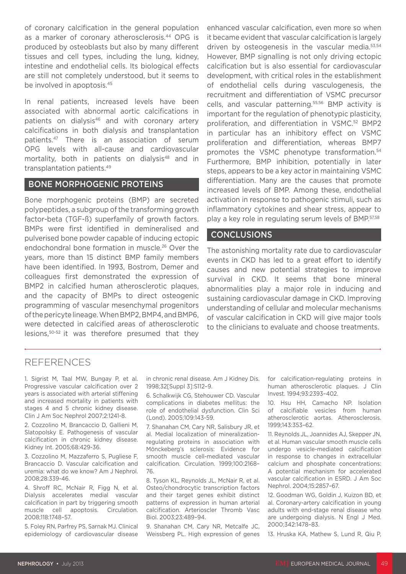of coronary calcification in the general population as a marker of coronary atherosclerosis.<sup>44</sup> OPG is produced by osteoblasts but also by many different tissues and cell types, including the lung, kidney, intestine and endothelial cells. Its biological effects are still not completely understood, but it seems to be involved in apoptosis.45

In renal patients, increased levels have been associated with abnormal aortic calcifications in patients on dialysis<sup>46</sup> and with coronary artery calcifications in both dialysis and transplantation patients.47 There is an association of serum OPG levels with all-cause and cardiovascular mortality, both in patients on dialysis<sup>48</sup> and in transplantation patients.49

#### BONE MORPHOGENIC PROTEINS

Bone morphogenic proteins (BMP) are secreted polypeptides, a subgroup of the transforming growth factor-beta (TGF-ß) superfamily of growth factors. BMPs were first identified in demineralised and pulverised bone powder capable of inducing ectopic endochondral bone formation in muscle.26 Over the years, more than 15 distinct BMP family members have been identified. In 1993, Bostrom, Demer and colleagues first demonstrated the expression of BMP2 in calcified human atherosclerotic plaques, and the capacity of BMPs to direct osteogenic programming of vascular mesenchymal progenitors of the pericyte lineage. When BMP2, BMP4, and BMP6, were detected in calcified areas of atherosclerotic lesions,50-52 it was therefore presumed that they

enhanced vascular calcification, even more so when it became evident that vascular calcification is largely driven by osteogenesis in the vascular media.53,54 However, BMP signalling is not only driving ectopic calcification but is also essential for cardiovascular development, with critical roles in the establishment of endothelial cells during vasculogenesis, the recruitment and differentiation of VSMC precursor cells, and vascular patterning.55,56 BMP activity is important for the regulation of phenotypic plasticity, proliferation, and differentiation in VSMC.52 BMP2 in particular has an inhibitory effect on VSMC proliferation and differentiation, whereas BMP7 promotes the VSMC phenotype transformation.<sup>54</sup> Furthermore, BMP inhibition, potentially in later steps, appears to be a key actor in maintaining VSMC differentiation. Many are the causes that promote increased levels of BMP. Among these, endothelial activation in response to pathogenic stimuli, such as inflammatory cytokines and shear stress, appear to play a key role in regulating serum levels of BMP.<sup>57,58</sup>

#### CONCLUSIONS

The astonishing mortality rate due to cardiovascular events in CKD has led to a great effort to identify causes and new potential strategies to improve survival in CKD. It seems that bone mineral abnormalities play a major role in inducing and sustaining cardiovascular damage in CKD. Improving understanding of cellular and molecular mechanisms of vascular calcification in CKD will give major tools to the clinicians to evaluate and choose treatments.

## REFERENCES

1. Sigrist M, Taal MW, Bungay P, et al. Progressive vascular calcification over 2 years is associated with arterial stiffening and increased mortality in patients with stages 4 and 5 chronic kidney disease. Clin J Am Soc Nephrol 2007;2:1241-8.

2. Cozzolino M, Brancaccio D, Gallieni M, Slatopolsky E. Pathogenesis of vascular calcification in chronic kidney disease. Kidney Int. 2005;68:429-36.

3. Cozzolino M, Mazzaferro S, Pugliese F, Brancaccio D. Vascular calcification and uremia: what do we know? Am J Nephrol. 2008;28:339-46.

4. Shroff RC, McNair R, Figg N, et al. Dialysis accelerates medial vascular calcification in part by triggering smooth muscle cell apoptosis. Circulation. 2008;118:1748–57.

5. Foley RN, Parfrey PS, Sarnak MJ. Clinical epidemiology of cardiovascular disease

in chronic renal disease. Am J Kidney Dis. 1998;32[Suppl 3]:S112–9.

6. Schalkwijk CG, Stehouwer CD. Vascular complications in diabetes mellitus: the role of endothelial dysfunction. Clin Sci (Lond). 2005;109:143-59.

7. Shanahan CM, Cary NR, Salisbury JR, et al. Medial localization of mineralizationregulating proteins in association with Mönckeberg's sclerosis: Evidence for smooth muscle cell-mediated vascular calcification. Circulation. 1999;100:2168– 76.

8. Tyson KL, Reynolds JL, McNair R, et al. Osteo/chondrocytic transcription factors and their target genes exhibit distinct patterns of expression in human arterial calcification. Arterioscler Thromb Vasc Biol. 2003;23:489–94.

9. Shanahan CM, Cary NR, Metcalfe JC, Weissberg PL. High expression of genes for calcification-regulating proteins in human atherosclerotic plaques. J Clin Invest. 1994;93:2393–402.

10. Hsu HH, Camacho NP. Isolation of calcifiable vesicles from human atherosclerotic aortas. Atherosclerosis. 1999;143:353–62.

11. Reynolds JL, Joannides AJ, Skepper JN, et al. Human vascular smooth muscle cells undergo vesicle-mediated calcification in response to changes in extracellular calcium and phosphate concentrations: A potential mechanism for accelerated vascular calcification in ESRD. J Am Soc Nephrol. 2004;15:2857–67.

12. Goodman WG, Goldin J, Kuizon BD, et al. Coronary-artery calcification in young adults with end-stage renal disease who are undergoing dialysis. N Engl J Med. 2000;342:1478–83.

13. Hruska KA, Mathew S, Lund R, Qiu P,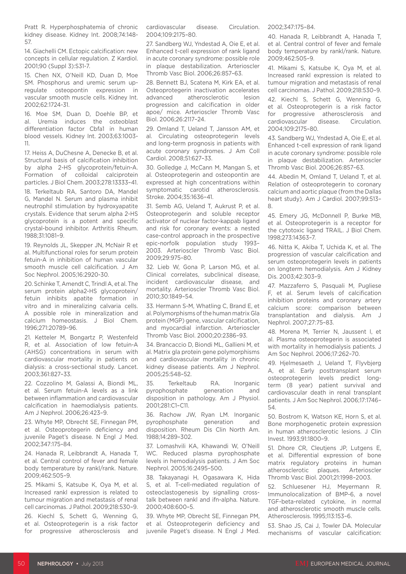Pratt R. Hyperphosphatemia of chronic kidney disease. Kidney Int. 2008;74:148- 57.

14. Giachelli CM. Ectopic calcification: new concepts in cellular regulation. Z Kardiol. 2001;90 (Suppl 3):S31-7.

15. Chen NX, O'Neill KD, Duan D, Moe SM. Phosphorus and uremic serum upregulate osteopontin expression in vascular smooth muscle cells. Kidney Int. 2002;62:1724-31.

16. Moe SM, Duan D, Doehle BP, et al. Uremia induces the osteoblast differentiation factor Cbfa1 in human blood vessels. Kidney Int. 2003;63:1003- 11.

17. Heiss A, DuChesne A, Denecke B, et al. Structural basis of calcification inhibition by alpha 2-HS glycoprotein/fetuin-A. Formation of colloidal calciprotein particles. J Biol Chem. 2003;278:13333–41. 18. Terkeltaub RA, Santoro DA, Mandel G, Mandel N. Serum and plasma inhibit neutrophil stimulation by hydroxyapatite crystals. Evidence that serum alpha 2-HS glycoprotein is a potent and specific crystal-bound inhibitor. Arthritis Rheum. 1988;31:1081–9.

19. Reynolds JL, Skepper JN, McNair R et al. Multifunctional roles for serum protein fetuin-A in inhibition of human vascular smooth muscle cell calcification. J Am Soc Nephrol. 2005;16:2920-30.

20. Schinke T, Amendt C, Trindl A, et al. The serum protein alpha2-HS glycoprotein/ fetuin inhibits apatite formation in vitro and in mineralizing calvaria cells. A possible role in mineralization and calcium homeostasis. J Biol Chem. 1996;271:20789–96.

21. Ketteler M, Bongartz P, Westenfeld R, et al. Association of low fetuin-A (AHSG) concentrations in serum with cardiovascular mortality in patients on dialysis: a cross-sectional study. Lancet. 2003;361:827–33.

22. Cozzolino M, Galassi A, Biondi ML, et al. Serum fetuin-A levels as a link between inflammation and cardiovascular calcification in haemodialysis patients. Am J Nephrol. 2006;26:423–9.

23. Whyte MP, Obrecht SE, Finnegan PM, et al. Osteoprotegerin deficiency and juvenile Paget's disease. N Engl J Med. 2002;347:175–84.

24. Hanada R, Leibbrandt A, Hanada T, et al. Central control of fever and female body temperature by rankl/rank. Nature. 2009;462:505–9.

25. Mikami S, Katsube K, Oya M, et al. Increased rankl expression is related to tumour migration and metastasis of renal cell carcinomas. J Pathol. 2009;218:530–9.

26. Kiechl S, Schett G, Wenning G, et al. Osteoprotegerin is a risk factor for progressive atherosclerosis and cardiovascular disease. Circulation. 2004;109:2175–80.

27. Sandberg WJ, Yndestad A, Oie E, et al. Enhanced t-cell expression of rank ligand in acute coronary syndrome: possible role in plaque destabilization. Arterioscler Thromb Vasc Biol. 2006;26:857–63.

28. Bennett BJ, Scatena M, Kirk EA, et al. Osteoprotegerin inactivation accelerates advanced atherosclerotic lesion progression and calcification in older apoe/ mice. Arterioscler Thromb Vasc Biol. 2006;26:2117–24.

29. Omland T, Ueland T, Jansson AM, et al. Circulating osteoprotegerin levels and long-term prognosis in patients with acute coronary syndromes. J Am Coll Cardiol. 2008;51:627–33.

30. Golledge J, McCann M, Mangan S, et al. Osteoprotegerin and osteopontin are expressed at high concentrations within symptomatic carotid atherosclerosis. Stroke. 2004;35:1636–41.

31. Semb AG, Ueland T, Aukrust P, et al. Osteoprotegerin and soluble receptor activator of nuclear factor-kappab ligand and risk for coronary events: a nested case-control approach in the prospective epic-norfolk population study 1993– 2003. Arterioscler Thromb Vasc Biol. 2009;29:975–80.

32. Lieb W, Gona P, Larson MG, et al. Clinical correlates, subclinical disease, incident cardiovascular disease, and mortality. Arterioscler Thromb Vasc Biol. 2010;30:1849–54.

33. Hermann S-M, Whatling C, Brand E, et al. Polymorphisms of the human matrix Gla protein (MGP) gene, vascular calcification, and myocardial infarction. Arterioscler Thromb Vasc Biol. 2000;20:2386–93.

34. Brancaccio D, Biondi ML, Gallieni M, et al. Matrix gla protein gene polymorphisms and cardiovascular mortality in chronic kidney disease patients. Am J Nephrol. 2005;25:548–52.

35. Terkeltaub RA. Inorganic pyrophosphate generation and disposition in pathology. Am J Physiol. 2001;281:C1–C11.

36. Rachow JW, Ryan LM. Inorganic pyrophosphate generation and disposition. Rheum Dis Clin North Am. 1988;14:289–302.

37. Lomashvili KA, Khawandi W, O'Neill WC. Reduced plasma pyrophosphate levels in hemodialysis patients. J Am Soc Nephrol. 2005;16:2495–500.

38. Takayanagi H, Ogasawara K, Hida S, et al. T-cell-mediated regulation of osteoclastogenesis by signalling crosstalk between rankl and ifn-alpha. Nature. 2000;408:600–5.

39. Whyte MP, Obrecht SE, Finnegan PM, et al. Osteoprotegerin deficiency and juvenile Paget's disease. N Engl J Med. 2002;347:175–84.

40. Hanada R, Leibbrandt A, Hanada T, et al. Central control of fever and female body temperature by rankl/rank. Nature. 2009;462:505–9.

41. Mikami S, Katsube K, Oya M, et al. Increased rankl expression is related to tumour migration and metastasis of renal cell carcinomas. J Pathol. 2009;218:530–9.

42. Kiechl S, Schett G, Wenning G, et al. Osteoprotegerin is a risk factor for progressive atherosclerosis and cardiovascular disease. Circulation. 2004;109:2175–80.

43. Sandberg WJ, Yndestad A, Oie E, et al. Enhanced t-cell expression of rank ligand in acute coronary syndrome: possible role in plaque destabilization. Arterioscler Thromb Vasc Biol. 2006;26:857–63.

44. Abedin M, Omland T, Ueland T, et al. Relation of osteoprotegerin to coronary calcium and aortic plaque (from the Dallas heart study). Am J Cardiol. 2007;99:513– 8.

45. Emery JG, McDonnell P, Burke MB, et al. Osteoprotegerin is a receptor for the cytotoxic ligand TRAIL. J Biol Chem. 1998;273:14363–7.

46. Nitta K, Akiba T, Uchida K, et al. The progression of vascular calcification and serum osteoprotegerin levels in patients on longterm hemodialysis. Am J Kidney Dis. 2003;42:303–9.

47. Mazzaferro S, Pasquali M, Pugliese F, et al. Serum levels of calcification inhibition proteins and coronary artery calcium score: comparison between transplantation and dialysis. Am J Nephrol. 2007;27:75–83.

48. Morena M, Terrier N, Jaussent I, et al. Plasma osteoprotegerin is associated with mortality in hemodialysis patients. J Am Soc Nephrol. 2006;17:262–70.

49. Hjelmesaeth J, Ueland T, Flyvbjerg A, et al. Early posttransplant serum osteoprotegerin levels predict longterm (8 year) patient survival and cardiovascular death in renal transplant patients. J Am Soc Nephrol. 2006;17:1746– 54.

50. Bostrom K, Watson KE, Horn S, et al. Bone morphogenetic protein expression in human atherosclerotic lesions. J Clin Invest. 1993;91:1800–9.

51. Dhore CR, Cleutjens JP, Lutgens E, et al. Differential expression of bone matrix regulatory proteins in human atherosclerotic plaques. Arterioscler Thromb Vasc Biol. 2001;21:1998–2003.

52. Schluesener HJ, Meyermann R. Immunolocalization of BMP-6, a novel TGF-beta-related cytokine, in normal and atherosclerotic smooth muscle cells. Atherosclerosis. 1995;113:153–6.

53. Shao JS, Cai J, Towler DA. Molecular mechanisms of vascular calcification: